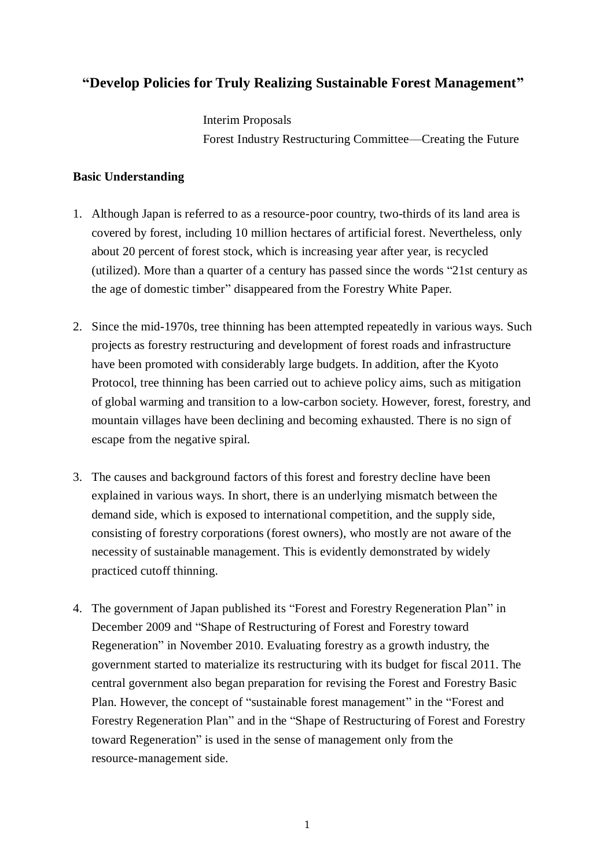#### **"Develop Policies for Truly Realizing Sustainable Forest Management"**

Interim Proposals Forest Industry Restructuring Committee—Creating the Future

#### **Basic Understanding**

- 1. Although Japan is referred to as a resource-poor country, two-thirds of its land area is covered by forest, including 10 million hectares of artificial forest. Nevertheless, only about 20 percent of forest stock, which is increasing year after year, is recycled (utilized). More than a quarter of a century has passed since the words "21st century as the age of domestic timber" disappeared from the Forestry White Paper.
- 2. Since the mid-1970s, tree thinning has been attempted repeatedly in various ways. Such projects as forestry restructuring and development of forest roads and infrastructure have been promoted with considerably large budgets. In addition, after the Kyoto Protocol, tree thinning has been carried out to achieve policy aims, such as mitigation of global warming and transition to a low-carbon society. However, forest, forestry, and mountain villages have been declining and becoming exhausted. There is no sign of escape from the negative spiral.
- 3. The causes and background factors of this forest and forestry decline have been explained in various ways. In short, there is an underlying mismatch between the demand side, which is exposed to international competition, and the supply side, consisting of forestry corporations (forest owners), who mostly are not aware of the necessity of sustainable management. This is evidently demonstrated by widely practiced cutoff thinning.
- 4. The government of Japan published its "Forest and Forestry Regeneration Plan" in December 2009 and "Shape of Restructuring of Forest and Forestry toward Regeneration" in November 2010. Evaluating forestry as a growth industry, the government started to materialize its restructuring with its budget for fiscal 2011. The central government also began preparation for revising the Forest and Forestry Basic Plan. However, the concept of "sustainable forest management" in the "Forest and Forestry Regeneration Plan" and in the "Shape of Restructuring of Forest and Forestry toward Regeneration" is used in the sense of management only from the resource-management side.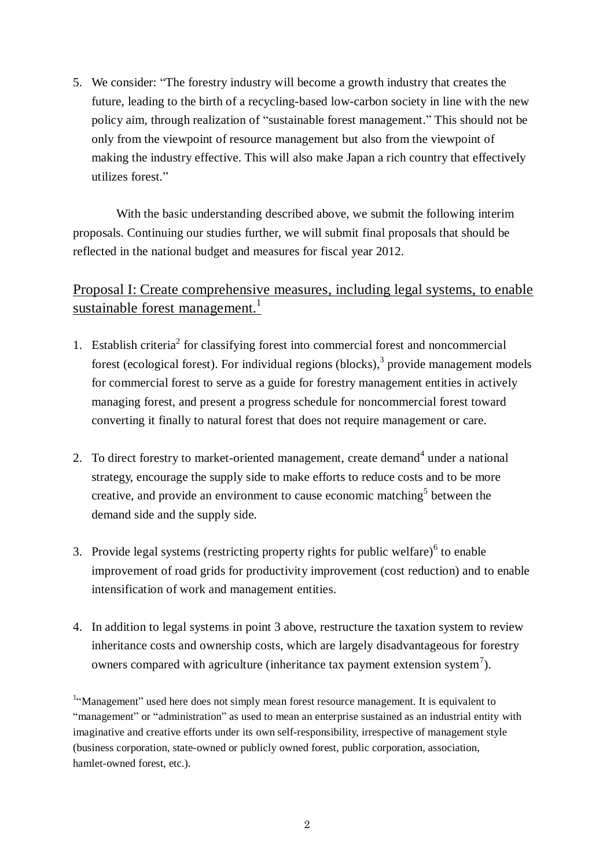5. We consider: "The forestry industry will become a growth industry that creates the future, leading to the birth of a recycling-based low-carbon society in line with the new policy aim, through realization of "sustainable forest management." This should not be only from the viewpoint of resource management but also from the viewpoint of making the industry effective. This will also make Japan a rich country that effectively utilizes forest."

With the basic understanding described above, we submit the following interim proposals. Continuing our studies further, we will submit final proposals that should be reflected in the national budget and measures for fiscal year 2012.

## Proposal I: Create comprehensive measures, including legal systems, to enable sustainable forest management.<sup>1</sup>

- 1. Establish criteria<sup>2</sup> for classifying forest into commercial forest and noncommercial forest (ecological forest). For individual regions (blocks),<sup>3</sup> provide management models for commercial forest to serve as a guide for forestry management entities in actively managing forest, and present a progress schedule for noncommercial forest toward converting it finally to natural forest that does not require management or care.
- 2. To direct forestry to market-oriented management, create demand<sup>4</sup> under a national strategy, encourage the supply side to make efforts to reduce costs and to be more creative, and provide an environment to cause economic matching<sup>5</sup> between the demand side and the supply side.
- 3. Provide legal systems (restricting property rights for public welfare) $<sup>6</sup>$  to enable</sup> improvement of road grids for productivity improvement (cost reduction) and to enable intensification of work and management entities.
- 4. In addition to legal systems in point 3 above, restructure the taxation system to review inheritance costs and ownership costs, which are largely disadvantageous for forestry owners compared with agriculture (inheritance tax payment extension system<sup>7</sup>).

<sup>&</sup>lt;sup>1.</sup> Management" used here does not simply mean forest resource management. It is equivalent to "management" or "administration" as used to mean an enterprise sustained as an industrial entity with imaginative and creative efforts under its own self-responsibility, irrespective of management style (business corporation, state-owned or publicly owned forest, public corporation, association, hamlet-owned forest, etc.).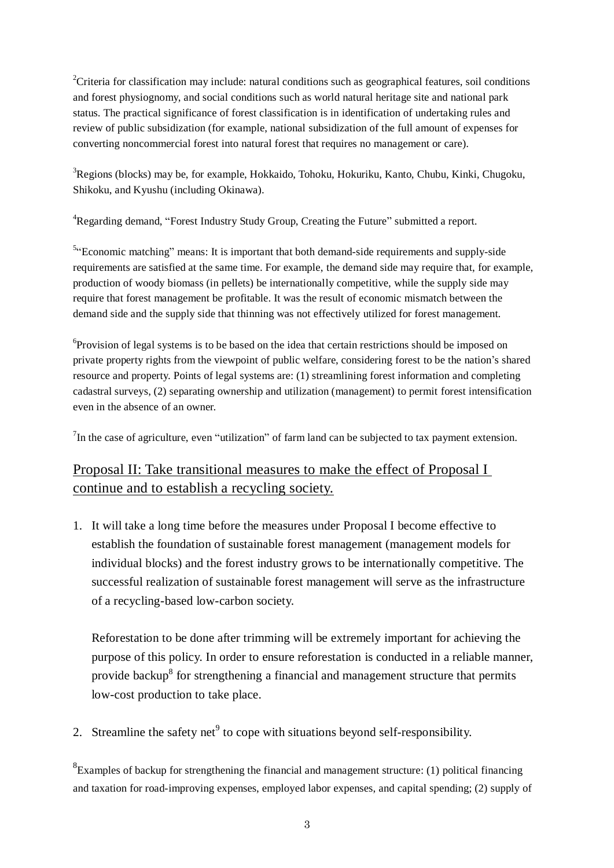<sup>2</sup>Criteria for classification may include: natural conditions such as geographical features, soil conditions and forest physiognomy, and social conditions such as world natural heritage site and national park status. The practical significance of forest classification is in identification of undertaking rules and review of public subsidization (for example, national subsidization of the full amount of expenses for converting noncommercial forest into natural forest that requires no management or care).

<sup>3</sup>Regions (blocks) may be, for example, Hokkaido, Tohoku, Hokuriku, Kanto, Chubu, Kinki, Chugoku, Shikoku, and Kyushu (including Okinawa).

<sup>4</sup>Regarding demand, "Forest Industry Study Group, Creating the Future" submitted a report.

 $54$ <sup>-Conomic matching" means: It is important that both demand-side requirements and supply-side</sup> requirements are satisfied at the same time. For example, the demand side may require that, for example, production of woody biomass (in pellets) be internationally competitive, while the supply side may require that forest management be profitable. It was the result of economic mismatch between the demand side and the supply side that thinning was not effectively utilized for forest management.

<sup>6</sup>Provision of legal systems is to be based on the idea that certain restrictions should be imposed on private property rights from the viewpoint of public welfare, considering forest to be the nation's shared resource and property. Points of legal systems are: (1) streamlining forest information and completing cadastral surveys, (2) separating ownership and utilization (management) to permit forest intensification even in the absence of an owner.

 $^{7}$ In the case of agriculture, even "utilization" of farm land can be subjected to tax payment extension.

# Proposal II: Take transitional measures to make the effect of Proposal I continue and to establish a recycling society.

1. It will take a long time before the measures under Proposal I become effective to establish the foundation of sustainable forest management (management models for individual blocks) and the forest industry grows to be internationally competitive. The successful realization of sustainable forest management will serve as the infrastructure of a recycling-based low-carbon society.

Reforestation to be done after trimming will be extremely important for achieving the purpose of this policy. In order to ensure reforestation is conducted in a reliable manner, provide backup<sup>8</sup> for strengthening a financial and management structure that permits low-cost production to take place.

2. Streamline the safety net<sup>9</sup> to cope with situations beyond self-responsibility.

 ${}^{8}$ Examples of backup for strengthening the financial and management structure: (1) political financing and taxation for road-improving expenses, employed labor expenses, and capital spending; (2) supply of